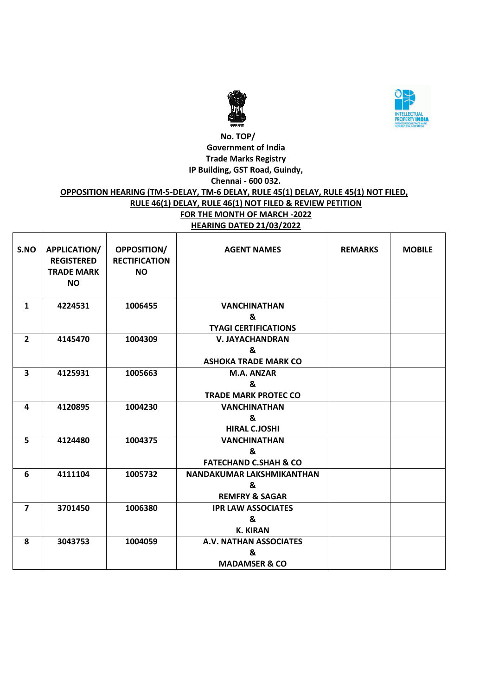



## **No. TOP/ Government of India Trade Marks Registry IP Building, GST Road, Guindy, Chennai - 600 032. OPPOSITION HEARING (TM-5-DELAY, TM-6 DELAY, RULE 45(1) DELAY, RULE 45(1) NOT FILED, RULE 46(1) DELAY, RULE 46(1) NOT FILED & REVIEW PETITION FOR THE MONTH OF MARCH -2022 HEARING DATED 21/03/2022**

| S.NO           | <b>APPLICATION/</b><br><b>REGISTERED</b><br><b>TRADE MARK</b><br><b>NO</b> | <b>OPPOSITION/</b><br><b>RECTIFICATION</b><br><b>NO</b> | <b>AGENT NAMES</b>               | <b>REMARKS</b> | <b>MOBILE</b> |
|----------------|----------------------------------------------------------------------------|---------------------------------------------------------|----------------------------------|----------------|---------------|
| $\mathbf{1}$   | 4224531                                                                    | 1006455                                                 | <b>VANCHINATHAN</b>              |                |               |
|                |                                                                            |                                                         | &                                |                |               |
|                |                                                                            |                                                         | <b>TYAGI CERTIFICATIONS</b>      |                |               |
| $\overline{2}$ | 4145470                                                                    | 1004309                                                 | <b>V. JAYACHANDRAN</b>           |                |               |
|                |                                                                            |                                                         | &                                |                |               |
|                |                                                                            |                                                         | <b>ASHOKA TRADE MARK CO</b>      |                |               |
| 3              | 4125931                                                                    | 1005663                                                 | <b>M.A. ANZAR</b>                |                |               |
|                |                                                                            |                                                         | &                                |                |               |
|                |                                                                            |                                                         | <b>TRADE MARK PROTEC CO</b>      |                |               |
| 4              | 4120895                                                                    | 1004230                                                 | <b>VANCHINATHAN</b>              |                |               |
|                |                                                                            |                                                         | &                                |                |               |
|                |                                                                            |                                                         | <b>HIRAL C.JOSHI</b>             |                |               |
| 5              | 4124480                                                                    | 1004375                                                 | <b>VANCHINATHAN</b>              |                |               |
|                |                                                                            |                                                         | &                                |                |               |
|                |                                                                            |                                                         | <b>FATECHAND C.SHAH &amp; CO</b> |                |               |
| 6              | 4111104                                                                    | 1005732                                                 | NANDAKUMAR LAKSHMIKANTHAN        |                |               |
|                |                                                                            |                                                         | &                                |                |               |
|                |                                                                            |                                                         | <b>REMFRY &amp; SAGAR</b>        |                |               |
| $\overline{7}$ | 3701450                                                                    | 1006380                                                 | <b>IPR LAW ASSOCIATES</b>        |                |               |
|                |                                                                            |                                                         | &                                |                |               |
|                |                                                                            |                                                         | <b>K. KIRAN</b>                  |                |               |
| 8              | 3043753                                                                    | 1004059                                                 | A.V. NATHAN ASSOCIATES           |                |               |
|                |                                                                            |                                                         | &                                |                |               |
|                |                                                                            |                                                         | <b>MADAMSER &amp; CO</b>         |                |               |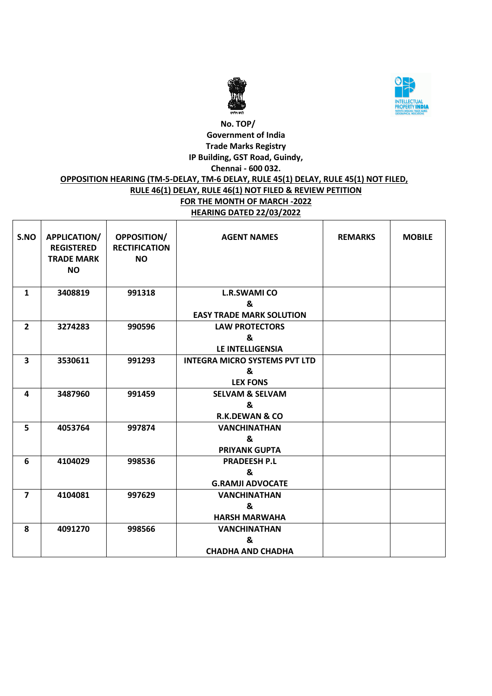



## **No. TOP/ Government of India Trade Marks Registry IP Building, GST Road, Guindy, Chennai - 600 032. OPPOSITION HEARING (TM-5-DELAY, TM-6 DELAY, RULE 45(1) DELAY, RULE 45(1) NOT FILED,**

#### **RULE 46(1) DELAY, RULE 46(1) NOT FILED & REVIEW PETITION FOR THE MONTH OF MARCH -2022 HEARING DATED 22/03/2022**

| S.NO                    | <b>APPLICATION/</b><br><b>REGISTERED</b><br><b>TRADE MARK</b><br><b>NO</b> | <b>OPPOSITION/</b><br><b>RECTIFICATION</b><br><b>NO</b> | <b>AGENT NAMES</b>                   | <b>REMARKS</b> | <b>MOBILE</b> |
|-------------------------|----------------------------------------------------------------------------|---------------------------------------------------------|--------------------------------------|----------------|---------------|
| $\mathbf{1}$            | 3408819                                                                    | 991318                                                  | <b>L.R.SWAMI CO</b>                  |                |               |
|                         |                                                                            |                                                         | &                                    |                |               |
|                         |                                                                            |                                                         | <b>EASY TRADE MARK SOLUTION</b>      |                |               |
| $\overline{2}$          | 3274283                                                                    | 990596                                                  | <b>LAW PROTECTORS</b>                |                |               |
|                         |                                                                            |                                                         | &                                    |                |               |
|                         |                                                                            |                                                         | <b>LE INTELLIGENSIA</b>              |                |               |
| $\overline{\mathbf{3}}$ | 3530611                                                                    | 991293                                                  | <b>INTEGRA MICRO SYSTEMS PVT LTD</b> |                |               |
|                         |                                                                            |                                                         | &                                    |                |               |
|                         |                                                                            |                                                         | <b>LEX FONS</b>                      |                |               |
| 4                       | 3487960                                                                    | 991459                                                  | <b>SELVAM &amp; SELVAM</b>           |                |               |
|                         |                                                                            |                                                         | &                                    |                |               |
|                         |                                                                            |                                                         | <b>R.K.DEWAN &amp; CO</b>            |                |               |
| 5                       | 4053764                                                                    | 997874                                                  | <b>VANCHINATHAN</b>                  |                |               |
|                         |                                                                            |                                                         | &                                    |                |               |
|                         |                                                                            |                                                         | <b>PRIYANK GUPTA</b>                 |                |               |
| 6                       | 4104029                                                                    | 998536                                                  | <b>PRADEESH P.L</b>                  |                |               |
|                         |                                                                            |                                                         | &                                    |                |               |
|                         |                                                                            |                                                         | <b>G.RAMJI ADVOCATE</b>              |                |               |
| $\overline{7}$          | 4104081                                                                    | 997629                                                  | <b>VANCHINATHAN</b>                  |                |               |
|                         |                                                                            |                                                         | &                                    |                |               |
|                         |                                                                            |                                                         | <b>HARSH MARWAHA</b>                 |                |               |
| 8                       | 4091270                                                                    | 998566                                                  | <b>VANCHINATHAN</b>                  |                |               |
|                         |                                                                            |                                                         | &                                    |                |               |
|                         |                                                                            |                                                         | <b>CHADHA AND CHADHA</b>             |                |               |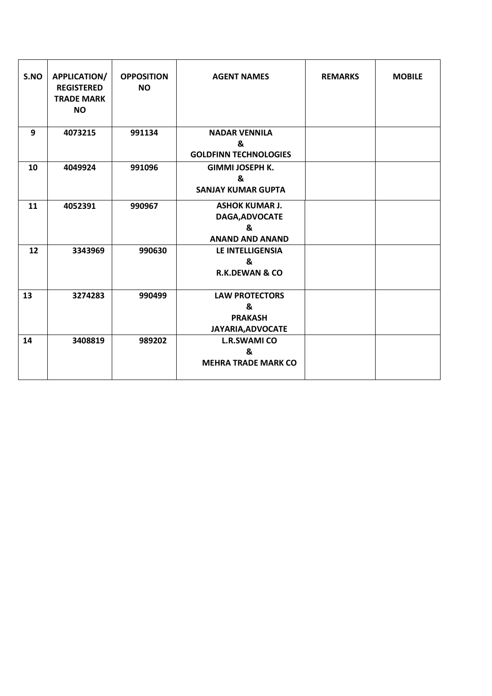| S.NO | <b>APPLICATION/</b><br><b>REGISTERED</b><br><b>TRADE MARK</b><br><b>NO</b> | <b>OPPOSITION</b><br><b>NO</b> | <b>AGENT NAMES</b>                                                     | <b>REMARKS</b> | <b>MOBILE</b> |
|------|----------------------------------------------------------------------------|--------------------------------|------------------------------------------------------------------------|----------------|---------------|
| 9    | 4073215                                                                    | 991134                         | <b>NADAR VENNILA</b><br>&<br><b>GOLDFINN TECHNOLOGIES</b>              |                |               |
| 10   | 4049924                                                                    | 991096                         | <b>GIMMI JOSEPH K.</b><br>&<br><b>SANJAY KUMAR GUPTA</b>               |                |               |
| 11   | 4052391                                                                    | 990967                         | <b>ASHOK KUMAR J.</b><br>DAGA, ADVOCATE<br>&<br><b>ANAND AND ANAND</b> |                |               |
| 12   | 3343969                                                                    | 990630                         | <b>LE INTELLIGENSIA</b><br>&<br><b>R.K.DEWAN &amp; CO</b>              |                |               |
| 13   | 3274283                                                                    | 990499                         | <b>LAW PROTECTORS</b><br>&<br><b>PRAKASH</b><br>JAYARIA, ADVOCATE      |                |               |
| 14   | 3408819                                                                    | 989202                         | <b>L.R.SWAMI CO</b><br>&<br><b>MEHRA TRADE MARK CO</b>                 |                |               |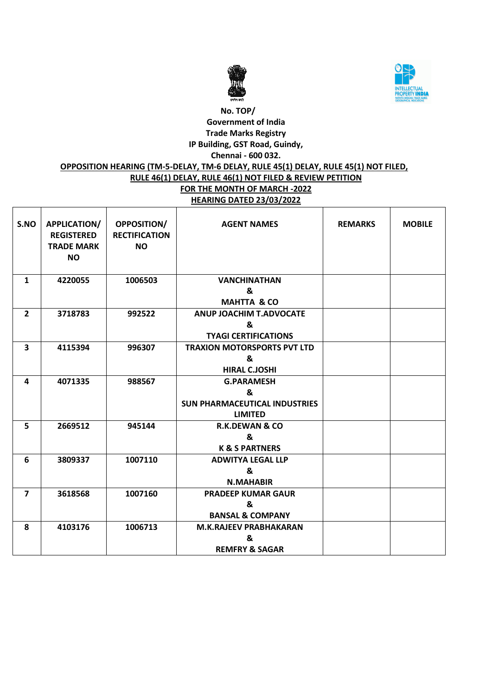



## **OPPOSITION HEARING (TM-5-DELAY, TM-6 DELAY, RULE 45(1) DELAY, RULE 45(1) NOT FILED,**

#### **RULE 46(1) DELAY, RULE 46(1) NOT FILED & REVIEW PETITION FOR THE MONTH OF MARCH -2022**

# **HEARING DATED 23/03/2022**

| S.NO                    | <b>APPLICATION/</b><br><b>REGISTERED</b><br><b>TRADE MARK</b><br><b>NO</b> | <b>OPPOSITION/</b><br><b>RECTIFICATION</b><br><b>NO</b> | <b>AGENT NAMES</b>                                                               | <b>REMARKS</b> | <b>MOBILE</b> |
|-------------------------|----------------------------------------------------------------------------|---------------------------------------------------------|----------------------------------------------------------------------------------|----------------|---------------|
| $\mathbf{1}$            | 4220055                                                                    | 1006503                                                 | <b>VANCHINATHAN</b><br>&<br><b>MAHTTA &amp; CO</b>                               |                |               |
| $\overline{2}$          | 3718783                                                                    | 992522                                                  | <b>ANUP JOACHIM T.ADVOCATE</b><br>&<br><b>TYAGI CERTIFICATIONS</b>               |                |               |
| $\overline{\mathbf{3}}$ | 4115394                                                                    | 996307                                                  | <b>TRAXION MOTORSPORTS PVT LTD</b><br>&<br><b>HIRAL C.JOSHI</b>                  |                |               |
| 4                       | 4071335                                                                    | 988567                                                  | <b>G.PARAMESH</b><br>&<br><b>SUN PHARMACEUTICAL INDUSTRIES</b><br><b>LIMITED</b> |                |               |
| 5                       | 2669512                                                                    | 945144                                                  | <b>R.K.DEWAN &amp; CO</b><br>&<br><b>K &amp; S PARTNERS</b>                      |                |               |
| 6                       | 3809337                                                                    | 1007110                                                 | <b>ADWITYA LEGAL LLP</b><br>&<br><b>N.MAHABIR</b>                                |                |               |
| $\overline{7}$          | 3618568                                                                    | 1007160                                                 | <b>PRADEEP KUMAR GAUR</b><br>&<br><b>BANSAL &amp; COMPANY</b>                    |                |               |
| 8                       | 4103176                                                                    | 1006713                                                 | <b>M.K.RAJEEV PRABHAKARAN</b><br>&<br><b>REMFRY &amp; SAGAR</b>                  |                |               |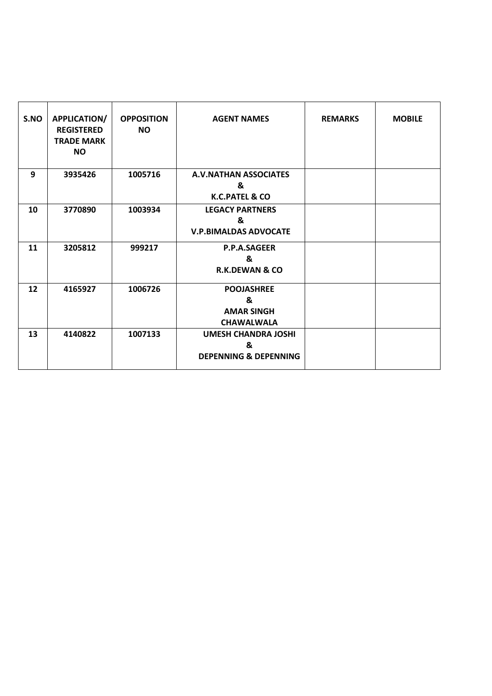| S.NO | <b>APPLICATION/</b><br><b>REGISTERED</b><br><b>TRADE MARK</b><br><b>NO</b> | <b>OPPOSITION</b><br><b>NO</b> | <b>AGENT NAMES</b>                                                  | <b>REMARKS</b> | <b>MOBILE</b> |
|------|----------------------------------------------------------------------------|--------------------------------|---------------------------------------------------------------------|----------------|---------------|
| 9    | 3935426                                                                    | 1005716                        | <b>A.V.NATHAN ASSOCIATES</b><br>&<br><b>K.C.PATEL &amp; CO</b>      |                |               |
| 10   | 3770890                                                                    | 1003934                        | <b>LEGACY PARTNERS</b><br>&<br><b>V.P.BIMALDAS ADVOCATE</b>         |                |               |
| 11   | 3205812                                                                    | 999217                         | P.P.A.SAGEER<br>&<br><b>R.K.DEWAN &amp; CO</b>                      |                |               |
| 12   | 4165927                                                                    | 1006726                        | <b>POOJASHREE</b><br>&<br><b>AMAR SINGH</b><br><b>CHAWALWALA</b>    |                |               |
| 13   | 4140822                                                                    | 1007133                        | <b>UMESH CHANDRA JOSHI</b><br>&<br><b>DEPENNING &amp; DEPENNING</b> |                |               |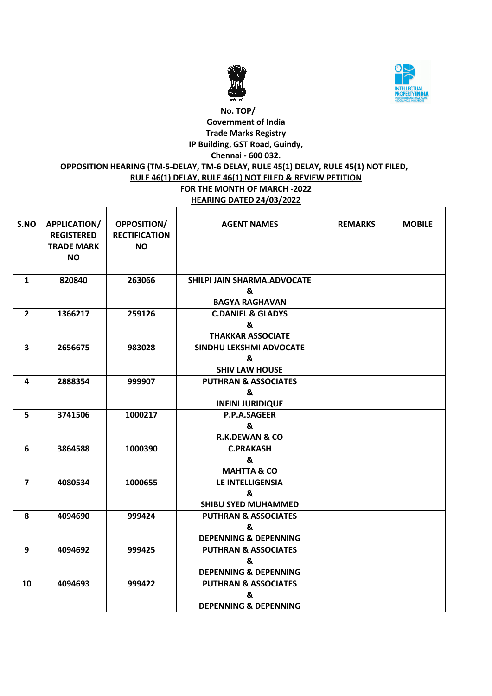



## **OPPOSITION HEARING (TM-5-DELAY, TM-6 DELAY, RULE 45(1) DELAY, RULE 45(1) NOT FILED,**

#### **RULE 46(1) DELAY, RULE 46(1) NOT FILED & REVIEW PETITION FOR THE MONTH OF MARCH -2022**

**HEARING DATED 24/03/2022**

| S.NO                    | APPLICATION/<br><b>REGISTERED</b><br><b>TRADE MARK</b><br><b>NO</b> | <b>OPPOSITION/</b><br><b>RECTIFICATION</b><br><b>NO</b> | <b>AGENT NAMES</b>                                                       | <b>REMARKS</b> | <b>MOBILE</b> |
|-------------------------|---------------------------------------------------------------------|---------------------------------------------------------|--------------------------------------------------------------------------|----------------|---------------|
| $\mathbf{1}$            | 820840                                                              | 263066                                                  | SHILPI JAIN SHARMA.ADVOCATE<br>&<br><b>BAGYA RAGHAVAN</b>                |                |               |
| $\overline{2}$          | 1366217                                                             | 259126                                                  | <b>C.DANIEL &amp; GLADYS</b><br>&<br><b>THAKKAR ASSOCIATE</b>            |                |               |
| $\overline{\mathbf{3}}$ | 2656675                                                             | 983028                                                  | <b>SINDHU LEKSHMI ADVOCATE</b><br>&<br><b>SHIV LAW HOUSE</b>             |                |               |
| 4                       | 2888354                                                             | 999907                                                  | <b>PUTHRAN &amp; ASSOCIATES</b><br>&<br><b>INFINI JURIDIQUE</b>          |                |               |
| 5                       | 3741506                                                             | 1000217                                                 | <b>P.P.A.SAGEER</b><br>&<br><b>R.K.DEWAN &amp; CO</b>                    |                |               |
| 6                       | 3864588                                                             | 1000390                                                 | <b>C.PRAKASH</b><br>&<br><b>MAHTTA &amp; CO</b>                          |                |               |
| $\overline{7}$          | 4080534                                                             | 1000655                                                 | <b>LE INTELLIGENSIA</b><br>&<br><b>SHIBU SYED MUHAMMED</b>               |                |               |
| 8                       | 4094690                                                             | 999424                                                  | <b>PUTHRAN &amp; ASSOCIATES</b><br>&<br><b>DEPENNING &amp; DEPENNING</b> |                |               |
| 9                       | 4094692                                                             | 999425                                                  | <b>PUTHRAN &amp; ASSOCIATES</b><br>&<br><b>DEPENNING &amp; DEPENNING</b> |                |               |
| 10                      | 4094693                                                             | 999422                                                  | <b>PUTHRAN &amp; ASSOCIATES</b><br>&<br><b>DEPENNING &amp; DEPENNING</b> |                |               |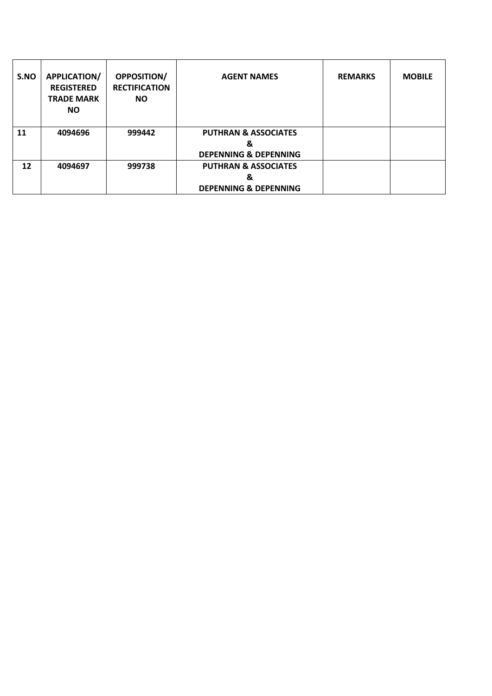| S.NO | <b>APPLICATION/</b><br><b>REGISTERED</b><br><b>TRADE MARK</b><br><b>NO</b> | <b>OPPOSITION/</b><br><b>RECTIFICATION</b><br><b>NO</b> | <b>AGENT NAMES</b>                                                       | <b>REMARKS</b> | <b>MOBILE</b> |
|------|----------------------------------------------------------------------------|---------------------------------------------------------|--------------------------------------------------------------------------|----------------|---------------|
| 11   | 4094696                                                                    | 999442                                                  | <b>PUTHRAN &amp; ASSOCIATES</b><br>&<br><b>DEPENNING &amp; DEPENNING</b> |                |               |
| 12   | 4094697                                                                    | 999738                                                  | <b>PUTHRAN &amp; ASSOCIATES</b><br>&<br><b>DEPENNING &amp; DEPENNING</b> |                |               |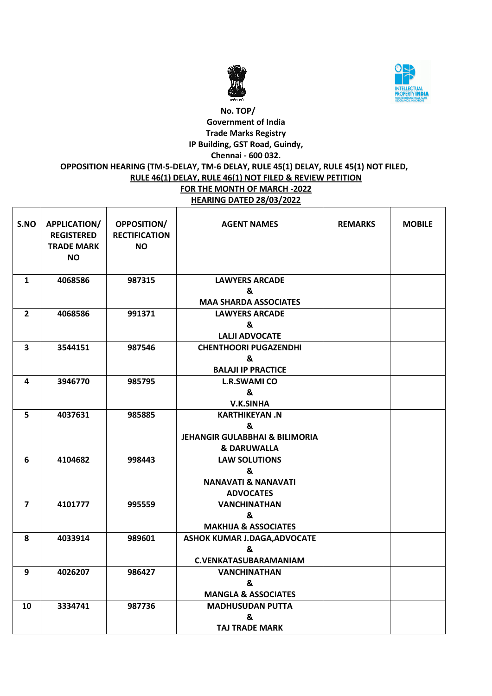



## **OPPOSITION HEARING (TM-5-DELAY, TM-6 DELAY, RULE 45(1) DELAY, RULE 45(1) NOT FILED,**

# **RULE 46(1) DELAY, RULE 46(1) NOT FILED & REVIEW PETITION**

**FOR THE MONTH OF MARCH -2022 HEARING DATED 28/03/2022**

| S.NO         | <b>APPLICATION/</b><br><b>REGISTERED</b><br><b>TRADE MARK</b><br><b>NO</b> | <b>OPPOSITION/</b><br><b>RECTIFICATION</b><br><b>NO</b> | <b>AGENT NAMES</b>                        | <b>REMARKS</b> | <b>MOBILE</b> |
|--------------|----------------------------------------------------------------------------|---------------------------------------------------------|-------------------------------------------|----------------|---------------|
| $\mathbf{1}$ | 4068586                                                                    | 987315                                                  | <b>LAWYERS ARCADE</b>                     |                |               |
|              |                                                                            |                                                         | &                                         |                |               |
|              |                                                                            |                                                         | <b>MAA SHARDA ASSOCIATES</b>              |                |               |
| $\mathbf{2}$ | 4068586                                                                    | 991371                                                  | <b>LAWYERS ARCADE</b>                     |                |               |
|              |                                                                            |                                                         | &                                         |                |               |
|              |                                                                            |                                                         | <b>LALJI ADVOCATE</b>                     |                |               |
| 3            | 3544151                                                                    | 987546                                                  | <b>CHENTHOORI PUGAZENDHI</b>              |                |               |
|              |                                                                            |                                                         | &                                         |                |               |
|              |                                                                            |                                                         | <b>BALAJI IP PRACTICE</b>                 |                |               |
| 4            | 3946770                                                                    | 985795                                                  | <b>L.R.SWAMI CO</b>                       |                |               |
|              |                                                                            |                                                         | &                                         |                |               |
|              |                                                                            |                                                         | <b>V.K.SINHA</b>                          |                |               |
| 5            | 4037631                                                                    | 985885                                                  | <b>KARTHIKEYAN, N</b>                     |                |               |
|              |                                                                            |                                                         | &                                         |                |               |
|              |                                                                            |                                                         | <b>JEHANGIR GULABBHAI &amp; BILIMORIA</b> |                |               |
|              |                                                                            |                                                         | <b>&amp; DARUWALLA</b>                    |                |               |
| 6            | 4104682                                                                    | 998443                                                  | <b>LAW SOLUTIONS</b>                      |                |               |
|              |                                                                            |                                                         | &                                         |                |               |
|              |                                                                            |                                                         | <b>NANAVATI &amp; NANAVATI</b>            |                |               |
|              |                                                                            |                                                         | <b>ADVOCATES</b>                          |                |               |
| 7            | 4101777                                                                    | 995559                                                  | <b>VANCHINATHAN</b>                       |                |               |
|              |                                                                            |                                                         | &                                         |                |               |
|              |                                                                            |                                                         | <b>MAKHIJA &amp; ASSOCIATES</b>           |                |               |
| 8            | 4033914                                                                    | 989601                                                  | <b>ASHOK KUMAR J.DAGA, ADVOCATE</b>       |                |               |
|              |                                                                            |                                                         | &                                         |                |               |
|              |                                                                            |                                                         | <b>C.VENKATASUBARAMANIAM</b>              |                |               |
| 9            | 4026207                                                                    | 986427                                                  | <b>VANCHINATHAN</b>                       |                |               |
|              |                                                                            |                                                         | &                                         |                |               |
|              |                                                                            |                                                         | <b>MANGLA &amp; ASSOCIATES</b>            |                |               |
| 10           | 3334741                                                                    | 987736                                                  | <b>MADHUSUDAN PUTTA</b>                   |                |               |
|              |                                                                            |                                                         | &                                         |                |               |
|              |                                                                            |                                                         | <b>TAJ TRADE MARK</b>                     |                |               |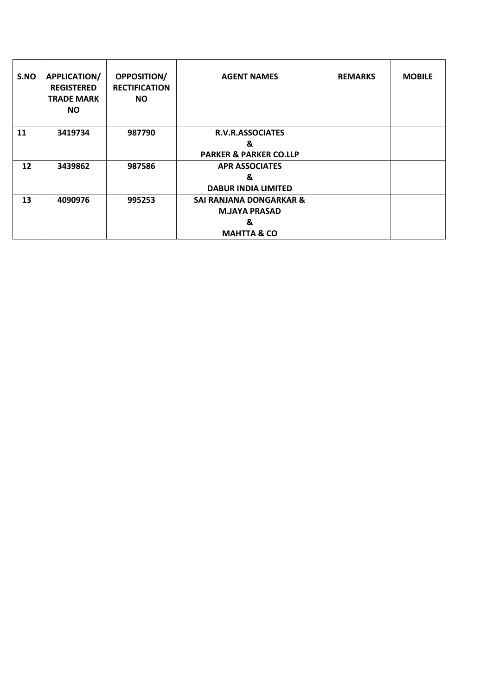| S.NO | <b>APPLICATION/</b><br><b>REGISTERED</b><br><b>TRADE MARK</b><br><b>NO</b> | <b>OPPOSITION/</b><br><b>RECTIFICATION</b><br><b>NO</b> | <b>AGENT NAMES</b>                | <b>REMARKS</b> | <b>MOBILE</b> |
|------|----------------------------------------------------------------------------|---------------------------------------------------------|-----------------------------------|----------------|---------------|
| 11   | 3419734                                                                    | 987790                                                  | <b>R.V.R.ASSOCIATES</b>           |                |               |
|      |                                                                            |                                                         | &                                 |                |               |
|      |                                                                            |                                                         | <b>PARKER &amp; PARKER CO.LLP</b> |                |               |
| 12   | 3439862                                                                    | 987586                                                  | <b>APR ASSOCIATES</b>             |                |               |
|      |                                                                            |                                                         | &                                 |                |               |
|      |                                                                            |                                                         | <b>DABUR INDIA LIMITED</b>        |                |               |
| 13   | 4090976                                                                    | 995253                                                  | SAI RANJANA DONGARKAR &           |                |               |
|      |                                                                            |                                                         | <b>M.JAYA PRASAD</b>              |                |               |
|      |                                                                            |                                                         | &                                 |                |               |
|      |                                                                            |                                                         | <b>MAHTTA &amp; CO</b>            |                |               |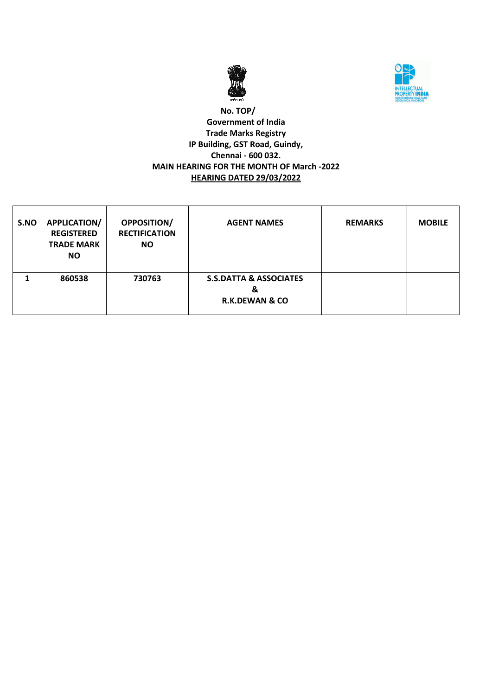



### **No. TOP/ Government of India Trade Marks Registry IP Building, GST Road, Guindy, Chennai - 600 032. MAIN HEARING FOR THE MONTH OF March -2022 HEARING DATED 29/03/2022**

| S.NO | APPLICATION/<br><b>REGISTERED</b><br><b>TRADE MARK</b><br><b>NO</b> | <b>OPPOSITION/</b><br><b>RECTIFICATION</b><br><b>NO</b> | <b>AGENT NAMES</b>                                                  | <b>REMARKS</b> | <b>MOBILE</b> |
|------|---------------------------------------------------------------------|---------------------------------------------------------|---------------------------------------------------------------------|----------------|---------------|
|      | 860538                                                              | 730763                                                  | <b>S.S.DATTA &amp; ASSOCIATES</b><br>&<br><b>R.K.DEWAN &amp; CO</b> |                |               |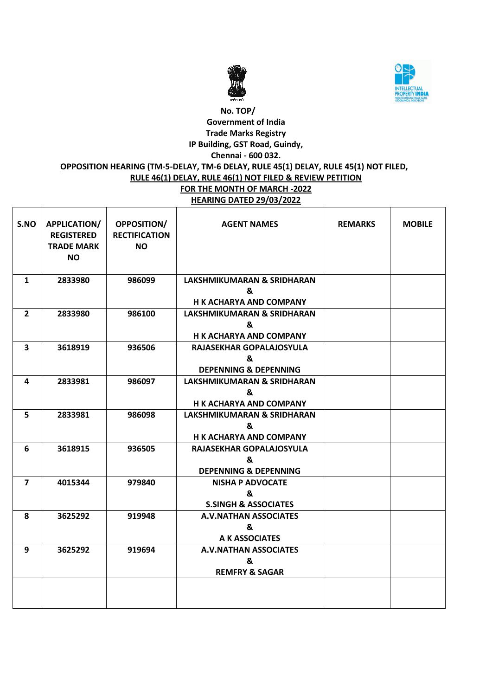



## **OPPOSITION HEARING (TM-5-DELAY, TM-6 DELAY, RULE 45(1) DELAY, RULE 45(1) NOT FILED,**

#### **RULE 46(1) DELAY, RULE 46(1) NOT FILED & REVIEW PETITION FOR THE MONTH OF MARCH -2022**

**HEARING DATED 29/03/2022**

| S.NO                    | APPLICATION/<br><b>REGISTERED</b><br><b>TRADE MARK</b><br><b>NO</b> | <b>OPPOSITION/</b><br><b>RECTIFICATION</b><br><b>NO</b> | <b>AGENT NAMES</b>                                                           | <b>REMARKS</b> | <b>MOBILE</b> |
|-------------------------|---------------------------------------------------------------------|---------------------------------------------------------|------------------------------------------------------------------------------|----------------|---------------|
| $\mathbf{1}$            | 2833980                                                             | 986099                                                  | LAKSHMIKUMARAN & SRIDHARAN<br>&<br><b>H K ACHARYA AND COMPANY</b>            |                |               |
| $\overline{2}$          | 2833980                                                             | 986100                                                  | <b>LAKSHMIKUMARAN &amp; SRIDHARAN</b><br>&<br><b>H K ACHARYA AND COMPANY</b> |                |               |
| $\overline{\mathbf{3}}$ | 3618919                                                             | 936506                                                  | RAJASEKHAR GOPALAJOSYULA<br>&<br><b>DEPENNING &amp; DEPENNING</b>            |                |               |
| 4                       | 2833981                                                             | 986097                                                  | <b>LAKSHMIKUMARAN &amp; SRIDHARAN</b><br>&<br><b>H K ACHARYA AND COMPANY</b> |                |               |
| 5                       | 2833981                                                             | 986098                                                  | <b>LAKSHMIKUMARAN &amp; SRIDHARAN</b><br>&<br><b>H K ACHARYA AND COMPANY</b> |                |               |
| 6                       | 3618915                                                             | 936505                                                  | RAJASEKHAR GOPALAJOSYULA<br>ጼ<br><b>DEPENNING &amp; DEPENNING</b>            |                |               |
| $\overline{7}$          | 4015344                                                             | 979840                                                  | <b>NISHA P ADVOCATE</b><br>&<br><b>S.SINGH &amp; ASSOCIATES</b>              |                |               |
| 8                       | 3625292                                                             | 919948                                                  | <b>A.V.NATHAN ASSOCIATES</b><br>&<br>A K ASSOCIATES                          |                |               |
| 9                       | 3625292                                                             | 919694                                                  | <b>A.V.NATHAN ASSOCIATES</b><br>&<br><b>REMFRY &amp; SAGAR</b>               |                |               |
|                         |                                                                     |                                                         |                                                                              |                |               |